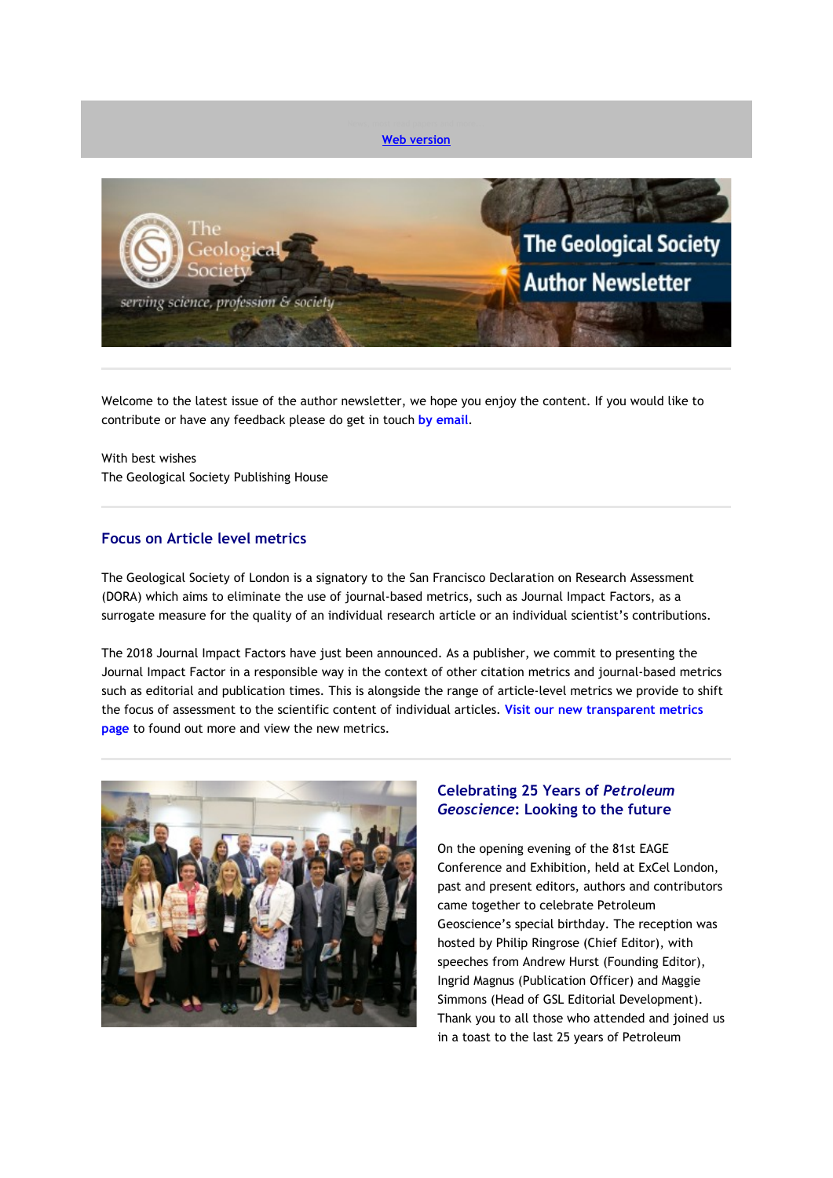

Welcome to the latest issue of the author newsletter, we hope you enjoy the content. If you would like to contribute or have any feedback please do get in touch **[by email](mailto:marketing@geolsoc.org.uk?subject=Author%20Newsletter)**.

With best wishes The Geological Society Publishing House

## **Focus on Article level metrics**

The Geological Society of London is a signatory to the San Francisco Declaration on Research Assessment (DORA) which aims to eliminate the use of journal-based metrics, such as Journal Impact Factors, as a surrogate measure for the quality of an individual research article or an individual scientist's contributions.

The 2018 Journal Impact Factors have just been announced. As a publisher, we commit to presenting the Journal Impact Factor in a responsible way in the context of other citation metrics and journal-based metrics such as editorial and publication times. This is alongside the range of article-level metrics we provide to shift the focus of assessment to the scientific content of individual articles. **[Visit our new transparent metrics](https://eur01.safelinks.protection.outlook.com/?url=http%3A%2F%2Fgeologicalsociety.msgfocus.com%2Fc%2F13sxkGH20je4J50geJ0H&data=02%7C01%7Clucy.pullen%40geolsoc.org.uk%7C7ad3b2e9054644c2413808d6fdfdf932%7C8793af0570194bd4bcbe1895301e92f9%7C0%7C0%7C636975664587789914&sdata=GYUNkPPKP0TTUdecEdZ5LOcUkmmxU3jrJwI%2BgH%2F7a2c%3D&reserved=0)  [page](https://eur01.safelinks.protection.outlook.com/?url=http%3A%2F%2Fgeologicalsociety.msgfocus.com%2Fc%2F13sxkGH20je4J50geJ0H&data=02%7C01%7Clucy.pullen%40geolsoc.org.uk%7C7ad3b2e9054644c2413808d6fdfdf932%7C8793af0570194bd4bcbe1895301e92f9%7C0%7C0%7C636975664587789914&sdata=GYUNkPPKP0TTUdecEdZ5LOcUkmmxU3jrJwI%2BgH%2F7a2c%3D&reserved=0)** to found out more and view the new metrics.



# **Celebrating 25 Years of** *Petroleum Geoscience***: Looking to the future**

On the opening evening of the 81st EAGE Conference and Exhibition, held at ExCel London, past and present editors, authors and contributors came together to celebrate Petroleum Geoscience's special birthday. The reception was hosted by Philip Ringrose (Chief Editor), with speeches from Andrew Hurst (Founding Editor), Ingrid Magnus (Publication Officer) and Maggie Simmons (Head of GSL Editorial Development). Thank you to all those who attended and joined us in a toast to the last 25 years of Petroleum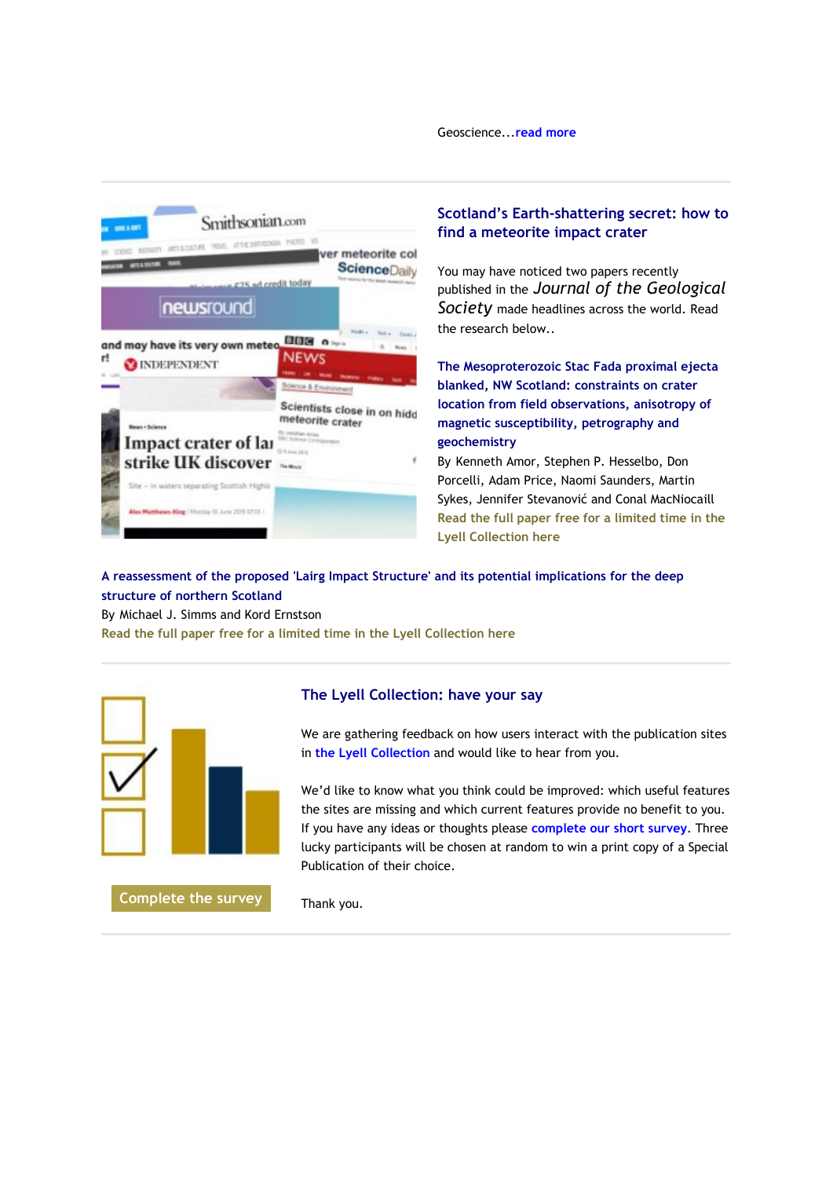Geoscience...**[read more](https://eur01.safelinks.protection.outlook.com/?url=http%3A%2F%2Fgeologicalsociety.msgfocus.com%2Fc%2F13sxnMTvwre2yzNSHCcV&data=02%7C01%7Clucy.pullen%40geolsoc.org.uk%7C7ad3b2e9054644c2413808d6fdfdf932%7C8793af0570194bd4bcbe1895301e92f9%7C0%7C0%7C636975664587799905&sdata=IasRUpB7NVnO3JJzUQZ5i%2FLtKTYoMBF3%2FJLpejtmXk4%3D&reserved=0)**



# **Scotland's Earth-shattering secret: how to find a meteorite impact crater**

You may have noticed two papers recently published in the *Journal of the Geological Society* made headlines across the world. Read the research below..

**The Mesoproterozoic Stac Fada proximal ejecta blanked, NW Scotland: constraints on crater location from field observations, anisotropy of magnetic susceptibility, petrography and geochemistry**

By Kenneth Amor, Stephen P. Hesselbo, Don Porcelli, Adam Price, Naomi Saunders, Martin Sykes, Jennifer Stevanović and Conal MacNiocaill **[Read the full paper free for a limited time in the](https://eur01.safelinks.protection.outlook.com/?url=http%3A%2F%2Fgeologicalsociety.msgfocus.com%2Fc%2F13sxpkZKhve1tkcGW3O2&data=02%7C01%7Clucy.pullen%40geolsoc.org.uk%7C7ad3b2e9054644c2413808d6fdfdf932%7C8793af0570194bd4bcbe1895301e92f9%7C0%7C0%7C636975664587804887&sdata=Jpf2MaDxCi9qlMVoADWaAk%2FoCMb6CNDqghCswYlze24%3D&reserved=0)  [Lyell Collection here](https://eur01.safelinks.protection.outlook.com/?url=http%3A%2F%2Fgeologicalsociety.msgfocus.com%2Fc%2F13sxpkZKhve1tkcGW3O2&data=02%7C01%7Clucy.pullen%40geolsoc.org.uk%7C7ad3b2e9054644c2413808d6fdfdf932%7C8793af0570194bd4bcbe1895301e92f9%7C0%7C0%7C636975664587804887&sdata=Jpf2MaDxCi9qlMVoADWaAk%2FoCMb6CNDqghCswYlze24%3D&reserved=0)**

# **A reassessment of the proposed 'Lairg Impact Structure' and its potential implications for the deep structure of northern Scotland**

By Michael J. Simms and Kord Ernstson

**[Read the full paper free for a limited time in the Lyell Collection here](https://eur01.safelinks.protection.outlook.com/?url=http%3A%2F%2Fgeologicalsociety.msgfocus.com%2Fc%2F13sxqT5Z2ze0o4Bvavp9&data=02%7C01%7Clucy.pullen%40geolsoc.org.uk%7C7ad3b2e9054644c2413808d6fdfdf932%7C8793af0570194bd4bcbe1895301e92f9%7C0%7C0%7C636975664587809881&sdata=fA8jNuv%2BFzRIytndXL0yj5jSa0bZ45myz%2B883cD%2Fons%3D&reserved=0)**



**[Complete the survey](https://eur01.safelinks.protection.outlook.com/?url=http%3A%2F%2Fgeologicalsociety.msgfocus.com%2Fc%2F13sxtZisyHdYdzp7DoBn&data=02%7C01%7Clucy.pullen%40geolsoc.org.uk%7C7ad3b2e9054644c2413808d6fdfdf932%7C8793af0570194bd4bcbe1895301e92f9%7C0%7C0%7C636975664587819858&sdata=RqChar%2BEv1u%2BFSMh3ZaK3Nipd8mwy9KdwaHKKd8ToP0%3D&reserved=0)**

#### **The Lyell Collection: have your say**

We are gathering feedback on how users interact with the publication sites in **[the Lyell Collection](https://eur01.safelinks.protection.outlook.com/?url=http%3A%2F%2Fgeologicalsociety.msgfocus.com%2Fc%2F13sxvxoHjLdX8jNVRQcu&data=02%7C01%7Clucy.pullen%40geolsoc.org.uk%7C7ad3b2e9054644c2413808d6fdfdf932%7C8793af0570194bd4bcbe1895301e92f9%7C0%7C0%7C636975664587819858&sdata=oavDsCcZ4si7zU4SKRx1utNZ6KNqwXSkHSM2uwUfSF8%3D&reserved=0)** and would like to hear from you.

We'd like to know what you think could be improved: which useful features the sites are missing and which current features provide no benefit to you. If you have any ideas or thoughts please **[complete our short](https://eur01.safelinks.protection.outlook.com/?url=http%3A%2F%2Fgeologicalsociety.msgfocus.com%2Fc%2F13sxx5uW4PdW34cK6hNB&data=02%7C01%7Clucy.pullen%40geolsoc.org.uk%7C7ad3b2e9054644c2413808d6fdfdf932%7C8793af0570194bd4bcbe1895301e92f9%7C0%7C0%7C636975664587824848&sdata=9aC89VMl9URiNx1oa2HBKmuLfk5DPrRK7RxGGWeE%2BTA%3D&reserved=0) survey**. Three lucky participants will be chosen at random to win a print copy of a Special Publication of their choice.

Thank you.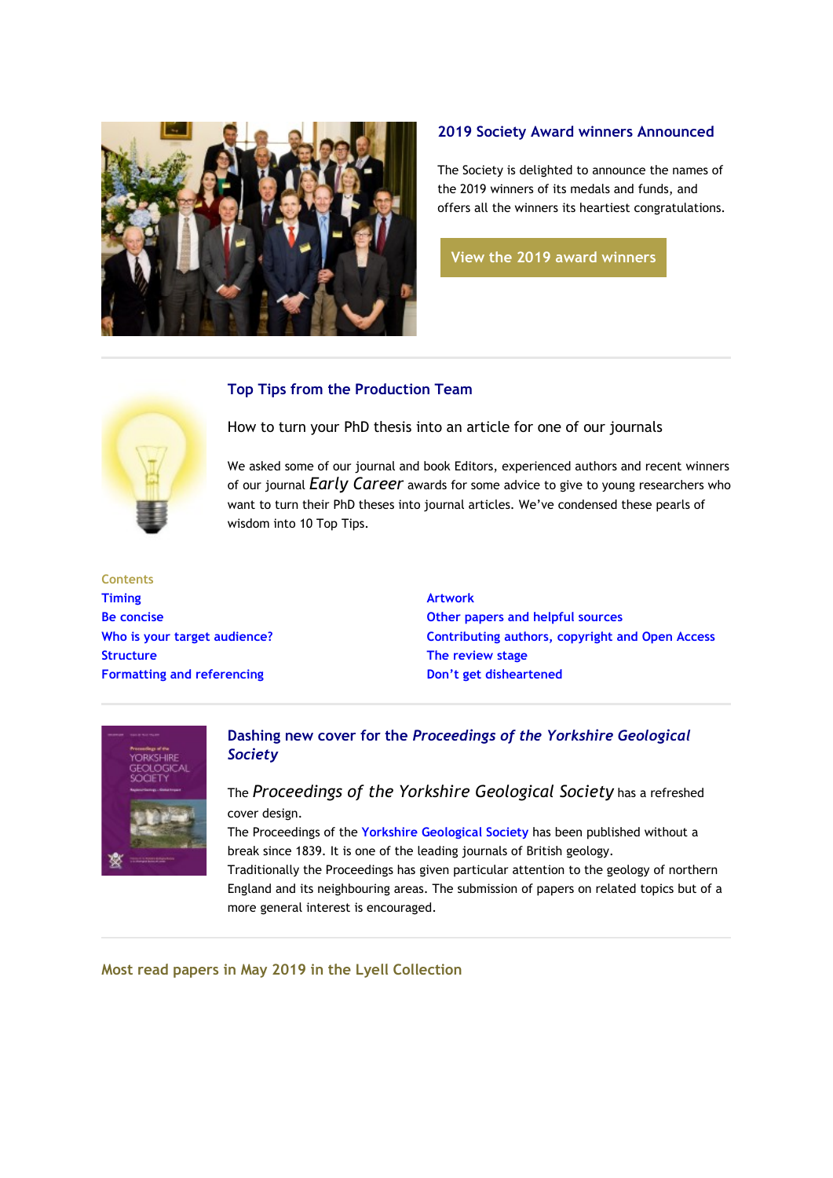

# **2019 Society Award winners Announced**

The Society is delighted to announce the names of the 2019 winners of its medals and funds, and offers all the winners its heartiest congratulations.

**[View the 2019 award winners](https://eur01.safelinks.protection.outlook.com/?url=http%3A%2F%2Fgeologicalsociety.msgfocus.com%2Fc%2F13sxBJNEm1dSNjpaNCAW&data=02%7C01%7Clucy.pullen%40geolsoc.org.uk%7C7ad3b2e9054644c2413808d6fdfdf932%7C8793af0570194bd4bcbe1895301e92f9%7C0%7C0%7C636975664587834832&sdata=VTHxv9ayLnEfor8GM2UHF6qMVgkGXp5s%2BLe%2FP3ZucCA%3D&reserved=0)**

# **Top Tips from the Production Team**



How to turn your PhD thesis into an article for one of our journals

We asked some of our journal and book Editors, experienced authors and recent winners of our journal *Early Career* awards for some advice to give to young researchers who want to turn their PhD theses into journal articles. We've condensed these pearls of wisdom into 10 Top Tips.

**Contents [Timing](https://eur01.safelinks.protection.outlook.com/?url=http%3A%2F%2Fgeologicalsociety.msgfocus.com%2Fc%2F13sxEQ07S9dQCOcNgvNa&data=02%7C01%7Clucy.pullen%40geolsoc.org.uk%7C7ad3b2e9054644c2413808d6fdfdf932%7C8793af0570194bd4bcbe1895301e92f9%7C0%7C0%7C636975664587844813&sdata=280E6NujN0lltSDUxjXCI2T9%2BF%2BUoo3lLgPwA0K%2B4%2Fk%3D&reserved=0) [Be concise](https://eur01.safelinks.protection.outlook.com/?url=http%3A%2F%2Fgeologicalsociety.msgfocus.com%2Fc%2F13sxEQ07S9dQCOcNgvNa&data=02%7C01%7Clucy.pullen%40geolsoc.org.uk%7C7ad3b2e9054644c2413808d6fdfdf932%7C8793af0570194bd4bcbe1895301e92f9%7C0%7C0%7C636975664587844813&sdata=280E6NujN0lltSDUxjXCI2T9%2BF%2BUoo3lLgPwA0K%2B4%2Fk%3D&reserved=0) [Who is your target audience?](https://eur01.safelinks.protection.outlook.com/?url=http%3A%2F%2Fgeologicalsociety.msgfocus.com%2Fc%2F13sxEQ07S9dQCOcNgvNa&data=02%7C01%7Clucy.pullen%40geolsoc.org.uk%7C7ad3b2e9054644c2413808d6fdfdf932%7C8793af0570194bd4bcbe1895301e92f9%7C0%7C0%7C636975664587844813&sdata=280E6NujN0lltSDUxjXCI2T9%2BF%2BUoo3lLgPwA0K%2B4%2Fk%3D&reserved=0) [Structure](https://eur01.safelinks.protection.outlook.com/?url=http%3A%2F%2Fgeologicalsociety.msgfocus.com%2Fc%2F13sxEQ07S9dQCOcNgvNa&data=02%7C01%7Clucy.pullen%40geolsoc.org.uk%7C7ad3b2e9054644c2413808d6fdfdf932%7C8793af0570194bd4bcbe1895301e92f9%7C0%7C0%7C636975664587844813&sdata=280E6NujN0lltSDUxjXCI2T9%2BF%2BUoo3lLgPwA0K%2B4%2Fk%3D&reserved=0) [Formatting and referencing](https://eur01.safelinks.protection.outlook.com/?url=http%3A%2F%2Fgeologicalsociety.msgfocus.com%2Fc%2F13sxEQ07S9dQCOcNgvNa&data=02%7C01%7Clucy.pullen%40geolsoc.org.uk%7C7ad3b2e9054644c2413808d6fdfdf932%7C8793af0570194bd4bcbe1895301e92f9%7C0%7C0%7C636975664587844813&sdata=280E6NujN0lltSDUxjXCI2T9%2BF%2BUoo3lLgPwA0K%2B4%2Fk%3D&reserved=0)**

**[Artwork](https://eur01.safelinks.protection.outlook.com/?url=http%3A%2F%2Fgeologicalsociety.msgfocus.com%2Fc%2F13sxGo6mDddPxyBBuXoh&data=02%7C01%7Clucy.pullen%40geolsoc.org.uk%7C7ad3b2e9054644c2413808d6fdfdf932%7C8793af0570194bd4bcbe1895301e92f9%7C0%7C0%7C636975664587849801&sdata=wmP3cYv1H8%2Fecl0zfRWbq6oDMDkJ4DsRhNxulqXJFBw%3D&reserved=0) [Other papers and helpful sources](https://eur01.safelinks.protection.outlook.com/?url=http%3A%2F%2Fgeologicalsociety.msgfocus.com%2Fc%2F13sxGo6mDddPxyBBuXoh&data=02%7C01%7Clucy.pullen%40geolsoc.org.uk%7C7ad3b2e9054644c2413808d6fdfdf932%7C8793af0570194bd4bcbe1895301e92f9%7C0%7C0%7C636975664587849801&sdata=wmP3cYv1H8%2Fecl0zfRWbq6oDMDkJ4DsRhNxulqXJFBw%3D&reserved=0) [Contributing authors, copyright and Open Access](https://eur01.safelinks.protection.outlook.com/?url=http%3A%2F%2Fgeologicalsociety.msgfocus.com%2Fc%2F13sxGo6mDddPxyBBuXoh&data=02%7C01%7Clucy.pullen%40geolsoc.org.uk%7C7ad3b2e9054644c2413808d6fdfdf932%7C8793af0570194bd4bcbe1895301e92f9%7C0%7C0%7C636975664587849801&sdata=wmP3cYv1H8%2Fecl0zfRWbq6oDMDkJ4DsRhNxulqXJFBw%3D&reserved=0) [The review stage](https://eur01.safelinks.protection.outlook.com/?url=http%3A%2F%2Fgeologicalsociety.msgfocus.com%2Fc%2F13sxGo6mDddPxyBBuXoh&data=02%7C01%7Clucy.pullen%40geolsoc.org.uk%7C7ad3b2e9054644c2413808d6fdfdf932%7C8793af0570194bd4bcbe1895301e92f9%7C0%7C0%7C636975664587849801&sdata=wmP3cYv1H8%2Fecl0zfRWbq6oDMDkJ4DsRhNxulqXJFBw%3D&reserved=0) [Don't get disheartened](https://eur01.safelinks.protection.outlook.com/?url=http%3A%2F%2Fgeologicalsociety.msgfocus.com%2Fc%2F13sxGo6mDddPxyBBuXoh&data=02%7C01%7Clucy.pullen%40geolsoc.org.uk%7C7ad3b2e9054644c2413808d6fdfdf932%7C8793af0570194bd4bcbe1895301e92f9%7C0%7C0%7C636975664587849801&sdata=wmP3cYv1H8%2Fecl0zfRWbq6oDMDkJ4DsRhNxulqXJFBw%3D&reserved=0)**



**Dashing new cover for the** *Proceedings of the Yorkshire Geological Society*

The *Proceedings of the Yorkshire Geological Society* has a refreshed cover design.

The Proceedings of the **[Yorkshire Geological Society](https://eur01.safelinks.protection.outlook.com/?url=http%3A%2F%2Fgeologicalsociety.msgfocus.com%2Fc%2F13sxJuiQ9ldNn3pdXQAv&data=02%7C01%7Clucy.pullen%40geolsoc.org.uk%7C7ad3b2e9054644c2413808d6fdfdf932%7C8793af0570194bd4bcbe1895301e92f9%7C0%7C0%7C636975664587859785&sdata=1MbeYsmkocOyqjs78FxLFsiufSwWSPX2nI7WUFQHuC4%3D&reserved=0)** has been published without a break since 1839. It is one of the leading journals of British geology.

Traditionally the Proceedings has given particular attention to the geology of northern England and its neighbouring areas. The submission of papers on related topics but of a more general interest is encouraged.

**Most read papers in May 2019 in the Lyell Collection**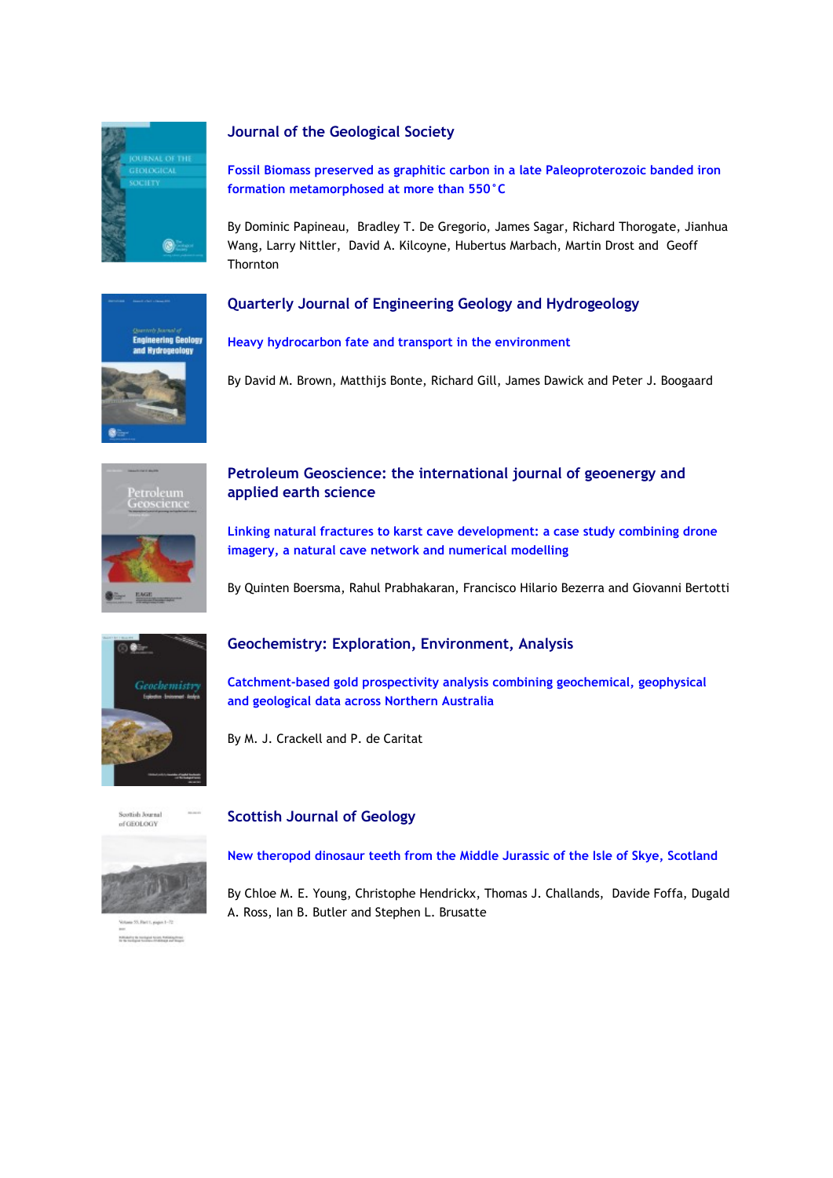

### **Journal of the Geological Society**

**[Fossil Biomass preserved as graphitic carbon in a late Paleoproterozoic banded iron](https://eur01.safelinks.protection.outlook.com/?url=http%3A%2F%2Fgeologicalsociety.msgfocus.com%2Fc%2F13sxMAvjFtdLcycQqJMJ&data=02%7C01%7Clucy.pullen%40geolsoc.org.uk%7C7ad3b2e9054644c2413808d6fdfdf932%7C8793af0570194bd4bcbe1895301e92f9%7C0%7C0%7C636975664587864775&sdata=R4ZfRRJSUC7lHvqAbt38u4D4H1drYRGKMU7u3hBcnYY%3D&reserved=0)  [formation metamorphosed at more than 550°C](https://eur01.safelinks.protection.outlook.com/?url=http%3A%2F%2Fgeologicalsociety.msgfocus.com%2Fc%2F13sxMAvjFtdLcycQqJMJ&data=02%7C01%7Clucy.pullen%40geolsoc.org.uk%7C7ad3b2e9054644c2413808d6fdfdf932%7C8793af0570194bd4bcbe1895301e92f9%7C0%7C0%7C636975664587864775&sdata=R4ZfRRJSUC7lHvqAbt38u4D4H1drYRGKMU7u3hBcnYY%3D&reserved=0)**

By Dominic Papineau, Bradley T. De Gregorio, James Sagar, Richard Thorogate, Jianhua Wang, Larry Nittler, David A. Kilcoyne, Hubertus Marbach, Martin Drost and Geoff **Thornton** 





#### **[Heavy hydrocarbon fate and transport in the environment](https://eur01.safelinks.protection.outlook.com/?url=http%3A%2F%2Fgeologicalsociety.msgfocus.com%2Fc%2F13sxReO1WFdHWNph84A4&data=02%7C01%7Clucy.pullen%40geolsoc.org.uk%7C7ad3b2e9054644c2413808d6fdfdf932%7C8793af0570194bd4bcbe1895301e92f9%7C0%7C0%7C636975664587874756&sdata=owdtlN%2FbqGPlfGLf89z6rJyL%2BljRw0EzVnjBvc6uHTs%3D&reserved=0)**

By David M. Brown, Matthijs Bonte, Richard Gill, James Dawick and Peter J. Boogaard



## **Petroleum Geoscience: the international journal of geoenergy and applied earth science**

**[Linking natural fractures to karst cave development: a case study combining drone](https://eur01.safelinks.protection.outlook.com/?url=http%3A%2F%2Fgeologicalsociety.msgfocus.com%2Fc%2F13sxUl0vsNdFMicTAXMi&data=02%7C01%7Clucy.pullen%40geolsoc.org.uk%7C7ad3b2e9054644c2413808d6fdfdf932%7C8793af0570194bd4bcbe1895301e92f9%7C0%7C0%7C636975664587884743&sdata=vrgIJl1WdOe9lY%2FGlW7BoMDel%2B7WHBw646RpIToL6aE%3D&reserved=0)  [imagery, a natural cave network and numerical modelling](https://eur01.safelinks.protection.outlook.com/?url=http%3A%2F%2Fgeologicalsociety.msgfocus.com%2Fc%2F13sxUl0vsNdFMicTAXMi&data=02%7C01%7Clucy.pullen%40geolsoc.org.uk%7C7ad3b2e9054644c2413808d6fdfdf932%7C8793af0570194bd4bcbe1895301e92f9%7C0%7C0%7C636975664587884743&sdata=vrgIJl1WdOe9lY%2FGlW7BoMDel%2B7WHBw646RpIToL6aE%3D&reserved=0)**

By Quinten Boersma, Rahul Prabhakaran, Francisco Hilario Bezerra and Giovanni Bertotti



### **Geochemistry: Exploration, Environment, Analysis**

**[Catchment-based gold prospectivity analysis combining geochemical, geophysical](https://eur01.safelinks.protection.outlook.com/?url=http%3A%2F%2Fgeologicalsociety.msgfocus.com%2Fc%2F13sxXrcYYVdDBN0w3QYw&data=02%7C01%7Clucy.pullen%40geolsoc.org.uk%7C7ad3b2e9054644c2413808d6fdfdf932%7C8793af0570194bd4bcbe1895301e92f9%7C0%7C0%7C636975664587894721&sdata=ezuq%2BsjeJn7gpxNKqI%2FIgVscHOfMsRrXZ5tPmneWZf4%3D&reserved=0)  [and geological data across Northern Australia](https://eur01.safelinks.protection.outlook.com/?url=http%3A%2F%2Fgeologicalsociety.msgfocus.com%2Fc%2F13sxXrcYYVdDBN0w3QYw&data=02%7C01%7Clucy.pullen%40geolsoc.org.uk%7C7ad3b2e9054644c2413808d6fdfdf932%7C8793af0570194bd4bcbe1895301e92f9%7C0%7C0%7C636975664587894721&sdata=ezuq%2BsjeJn7gpxNKqI%2FIgVscHOfMsRrXZ5tPmneWZf4%3D&reserved=0)** 

By M. J. Crackell and P. de Caritat



**Miladig to reciped to an Antiquities** 

#### **Scottish Journal of Geology**

**[New theropod dinosaur teeth from the Middle Jurassic of the Isle of Skye, Scotland](https://eur01.safelinks.protection.outlook.com/?url=http%3A%2F%2Fgeologicalsociety.msgfocus.com%2Fc%2F13sy0xpsv3dBrhO8wKaK&data=02%7C01%7Clucy.pullen%40geolsoc.org.uk%7C7ad3b2e9054644c2413808d6fdfdf932%7C8793af0570194bd4bcbe1895301e92f9%7C0%7C0%7C636975664587904699&sdata=LVIE6bPLw8cxzYG1ZVH7RFzYA5jHhmvnoWzGTbq40Y4%3D&reserved=0)**

By Chloe M. E. Young, Christophe Hendrickx, Thomas J. Challands, Davide Foffa, Dugald A. Ross, Ian B. Butler and Stephen L. Brusatte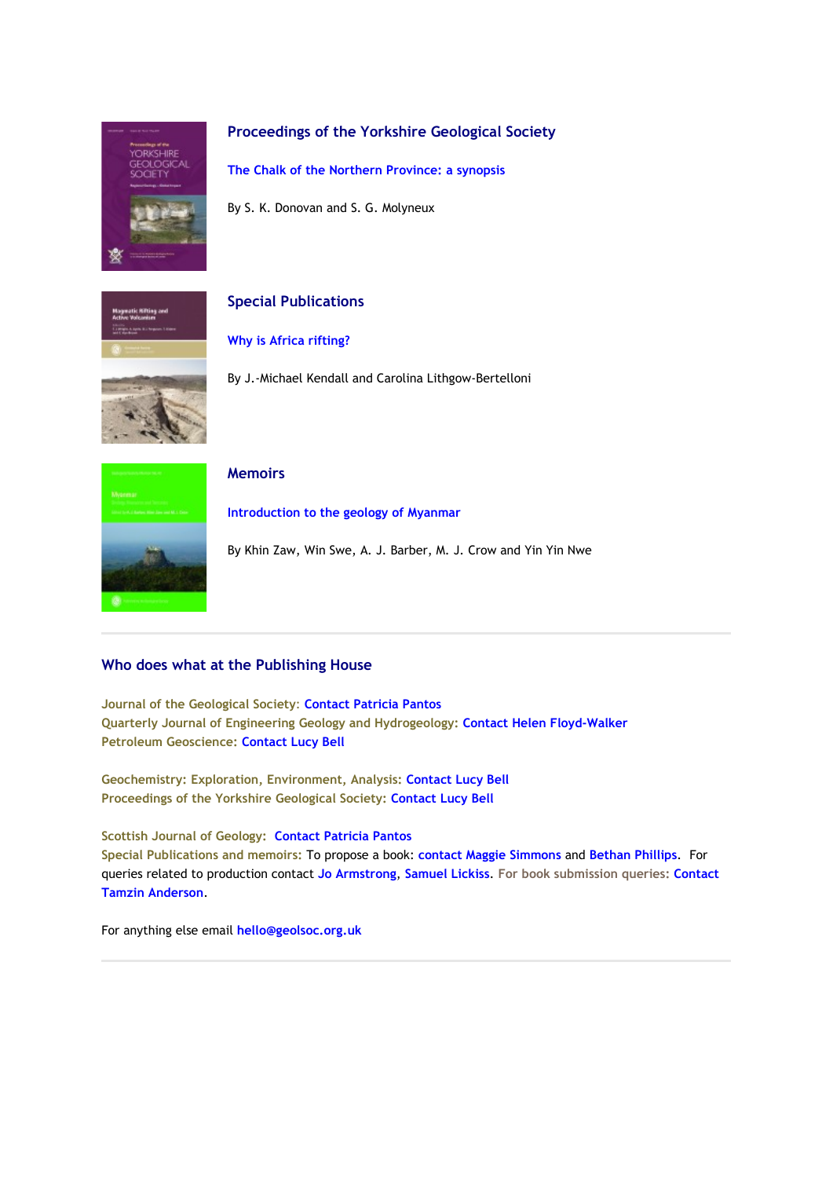

## **Proceedings of the Yorkshire Geological Society**

**[The Chalk of the Northern Province: a synopsis](https://eur01.safelinks.protection.outlook.com/?url=http%3A%2F%2Fgeologicalsociety.msgfocus.com%2Fc%2F13sy3DBW1bdzgMBKZDmY&data=02%7C01%7Clucy.pullen%40geolsoc.org.uk%7C7ad3b2e9054644c2413808d6fdfdf932%7C8793af0570194bd4bcbe1895301e92f9%7C0%7C0%7C636975664587914682&sdata=Pmzcphth5ds15VJF2tnYxp2GXSX37CjL0WfYMu6LMHo%3D&reserved=0)**

By S. K. Donovan and S. G. Molyneux



# **Special Publications**

#### **[Why is Africa rifting?](https://eur01.safelinks.protection.outlook.com/?url=http%3A%2F%2Fgeologicalsociety.msgfocus.com%2Fc%2F13sy8hUEindw11ObGYaj&data=02%7C01%7Clucy.pullen%40geolsoc.org.uk%7C7ad3b2e9054644c2413808d6fdfdf932%7C8793af0570194bd4bcbe1895301e92f9%7C0%7C0%7C636975664587919671&sdata=VZIamU4GcEn83OJ99aKY25NWlM7Kau%2BmWVAfQmsdj0k%3D&reserved=0)**

By J.-Michael Kendall and Carolina Lithgow-Bertelloni



#### **Memoirs**

**[Introduction to the geology of Myanmar](https://eur01.safelinks.protection.outlook.com/?url=http%3A%2F%2Fgeologicalsociety.msgfocus.com%2Fc%2F13sybo77OvdtQwBO9Rmx&data=02%7C01%7Clucy.pullen%40geolsoc.org.uk%7C7ad3b2e9054644c2413808d6fdfdf932%7C8793af0570194bd4bcbe1895301e92f9%7C0%7C0%7C636975664587929653&sdata=4DbQ17RWTzm5rS9GP9LxCO8gf%2FBv6iUGdMcfHPNht%2B0%3D&reserved=0)**

By Khin Zaw, Win Swe, A. J. Barber, M. J. Crow and Yin Yin Nwe

### **Who does what at the Publishing House**

**Journal of the Geological Society**: **[Contact Patricia Pantos](mailto:jgs@geolsoc.org.uk) Quarterly Journal of Engineering Geology and Hydrogeology[:](https://eur01.safelinks.protection.outlook.com/?url=http%3A%2F%2Fgeologicalsociety.msgfocus.com%2Fc%2F13sycWdmzzdsLh0CoiXE&data=02%7C01%7Clucy.pullen%40geolsoc.org.uk%7C7ad3b2e9054644c2413808d6fdfdf932%7C8793af0570194bd4bcbe1895301e92f9%7C0%7C0%7C636975664587934649&sdata=rgzHzyr%2FxoMyEpU3eBKaZbqYiN%2FY5PtFVMBq%2BzAMr%2Fg%3D&reserved=0) [Contact Helen Floyd-Walker](https://eur01.safelinks.protection.outlook.com/?url=http%3A%2F%2Fgeologicalsociety.msgfocus.com%2Fc%2F13sycWdmzzdsLh0CoiXE&data=02%7C01%7Clucy.pullen%40geolsoc.org.uk%7C7ad3b2e9054644c2413808d6fdfdf932%7C8793af0570194bd4bcbe1895301e92f9%7C0%7C0%7C636975664587934649&sdata=rgzHzyr%2FxoMyEpU3eBKaZbqYiN%2FY5PtFVMBq%2BzAMr%2Fg%3D&reserved=0) Petroleum Geoscience: [Contact Lucy Bell](mailto:pg@geolsoc.org.uk)**

**Geochemistry: Exploration, Environment, Analysis: [Contact Lucy Bell](mailto:geea@geolsoc.org.uk) Proceedings of the Yorkshire Geological Society: [Contact Lucy Bell](mailto:pygs@geolsoc.org.uk)**

## **Scottish Journal of Geology: [Contact Patricia Pantos](mailto:sjg@geolsoc.org.uk) Special Publications and memoirs:** To propose a book: **[contact Maggie Simmons](mailto:maggie.simmons@geolsoc.org.uk)** and **[Bethan Phillips](mailto:bethan.phillips@geolsoc.org.uk)**. For queries related to production contact **[Jo Armstrong](mailto:jo.armstrong@geolsoc.org.uk)**, **[Samuel Lickiss](mailto:samuel.lickiss@geolsoc.org.uk)**. **For book submission queries: [Contact](mailto:EditorialOffice@geolsoc.org.uk)  [Tamzin Anderson](mailto:EditorialOffice@geolsoc.org.uk)**.

For anything else email **[hello@geolsoc.org.uk](mailto:hello@geolsoc.org.uk)**